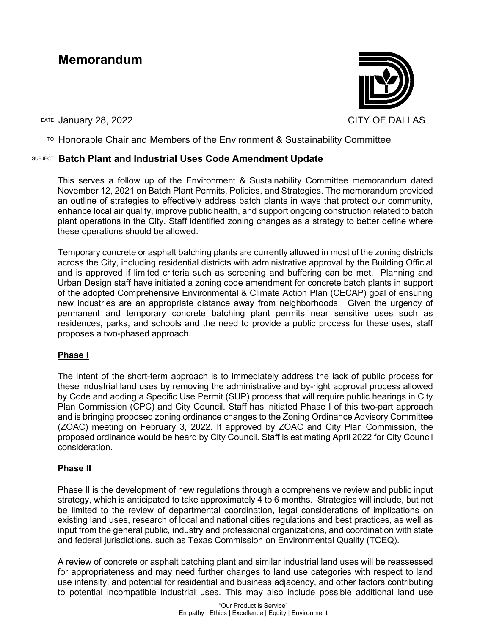# **Memorandum**

DATE January 28, 2022 **CITY OF DALLAS** 



 $\overline{P}$  Honorable Chair and Members of the Environment & Sustainability Committee

### SUBJECT **Batch Plant and Industrial Uses Code Amendment Update**

This serves a follow up of the Environment & Sustainability Committee memorandum dated November 12, 2021 on Batch Plant Permits, Policies, and Strategies. The memorandum provided an outline of strategies to effectively address batch plants in ways that protect our community, enhance local air quality, improve public health, and support ongoing construction related to batch plant operations in the City. Staff identified zoning changes as a strategy to better define where these operations should be allowed.

Temporary concrete or asphalt batching plants are currently allowed in most of the zoning districts across the City, including residential districts with administrative approval by the Building Official and is approved if limited criteria such as screening and buffering can be met. Planning and Urban Design staff have initiated a zoning code amendment for concrete batch plants in support of the adopted Comprehensive Environmental & Climate Action Plan (CECAP) goal of ensuring new industries are an appropriate distance away from neighborhoods. Given the urgency of permanent and temporary concrete batching plant permits near sensitive uses such as residences, parks, and schools and the need to provide a public process for these uses, staff proposes a two-phased approach.

#### **Phase I**

The intent of the short-term approach is to immediately address the lack of public process for these industrial land uses by removing the administrative and by-right approval process allowed by Code and adding a Specific Use Permit (SUP) process that will require public hearings in City Plan Commission (CPC) and City Council. Staff has initiated Phase I of this two-part approach and is bringing proposed zoning ordinance changes to the Zoning Ordinance Advisory Committee (ZOAC) meeting on February 3, 2022. If approved by ZOAC and City Plan Commission, the proposed ordinance would be heard by City Council. Staff is estimating April 2022 for City Council consideration.

#### **Phase II**

Phase II is the development of new regulations through a comprehensive review and public input strategy, which is anticipated to take approximately 4 to 6 months. Strategies will include, but not be limited to the review of departmental coordination, legal considerations of implications on existing land uses, research of local and national cities regulations and best practices, as well as input from the general public, industry and professional organizations, and coordination with state and federal jurisdictions, such as Texas Commission on Environmental Quality (TCEQ).

A review of concrete or asphalt batching plant and similar industrial land uses will be reassessed for appropriateness and may need further changes to land use categories with respect to land use intensity, and potential for residential and business adjacency, and other factors contributing to potential incompatible industrial uses. This may also include possible additional land use